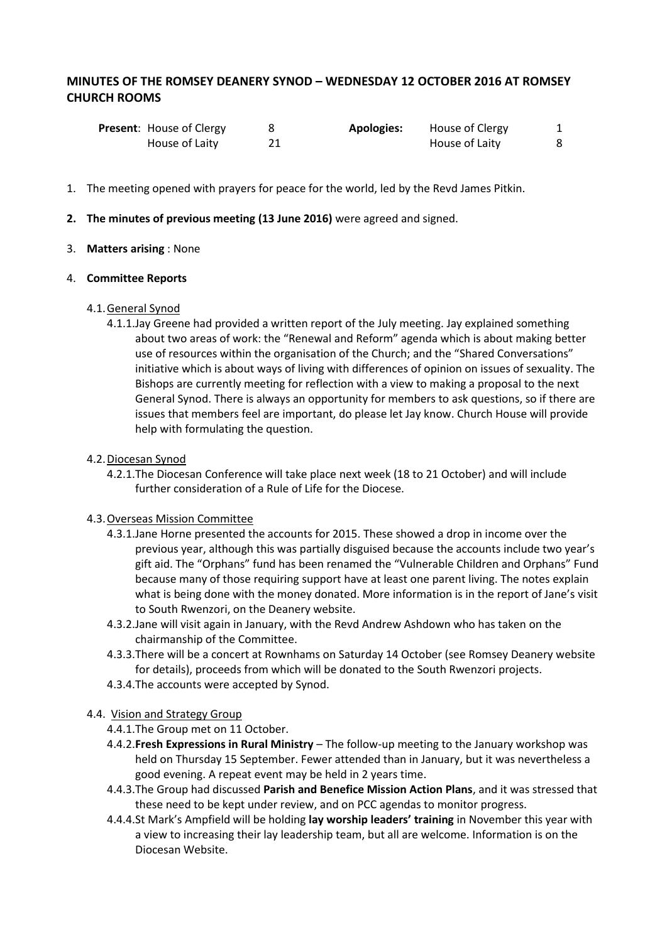# **MINUTES OF THE ROMSEY DEANERY SYNOD – WEDNESDAY 12 OCTOBER 2016 AT ROMSEY CHURCH ROOMS**

| <b>Present:</b> House of Clergy | <b>Apologies:</b> | House of Clergy |  |
|---------------------------------|-------------------|-----------------|--|
| House of Laity                  |                   | House of Laity  |  |

- 1. The meeting opened with prayers for peace for the world, led by the Revd James Pitkin.
- **2. The minutes of previous meeting (13 June 2016)** were agreed and signed.

# 3. **Matters arising** : None

#### 4. **Committee Reports**

# 4.1.General Synod

4.1.1.Jay Greene had provided a written report of the July meeting. Jay explained something about two areas of work: the "Renewal and Reform" agenda which is about making better use of resources within the organisation of the Church; and the "Shared Conversations" initiative which is about ways of living with differences of opinion on issues of sexuality. The Bishops are currently meeting for reflection with a view to making a proposal to the next General Synod. There is always an opportunity for members to ask questions, so if there are issues that members feel are important, do please let Jay know. Church House will provide help with formulating the question.

# 4.2.Diocesan Synod

4.2.1.The Diocesan Conference will take place next week (18 to 21 October) and will include further consideration of a Rule of Life for the Diocese.

#### 4.3. Overseas Mission Committee

- 4.3.1.Jane Horne presented the accounts for 2015. These showed a drop in income over the previous year, although this was partially disguised because the accounts include two year's gift aid. The "Orphans" fund has been renamed the "Vulnerable Children and Orphans" Fund because many of those requiring support have at least one parent living. The notes explain what is being done with the money donated. More information is in the report of Jane's visit to South Rwenzori, on the Deanery website.
- 4.3.2.Jane will visit again in January, with the Revd Andrew Ashdown who has taken on the chairmanship of the Committee.
- 4.3.3.There will be a concert at Rownhams on Saturday 14 October (see Romsey Deanery website for details), proceeds from which will be donated to the South Rwenzori projects.
- 4.3.4.The accounts were accepted by Synod.

# 4.4. Vision and Strategy Group

- 4.4.1.The Group met on 11 October.
- 4.4.2.**Fresh Expressions in Rural Ministry** The follow-up meeting to the January workshop was held on Thursday 15 September. Fewer attended than in January, but it was nevertheless a good evening. A repeat event may be held in 2 years time.
- 4.4.3.The Group had discussed **Parish and Benefice Mission Action Plans**, and it was stressed that these need to be kept under review, and on PCC agendas to monitor progress.
- 4.4.4.St Mark's Ampfield will be holding **lay worship leaders' training** in November this year with a view to increasing their lay leadership team, but all are welcome. Information is on the Diocesan Website.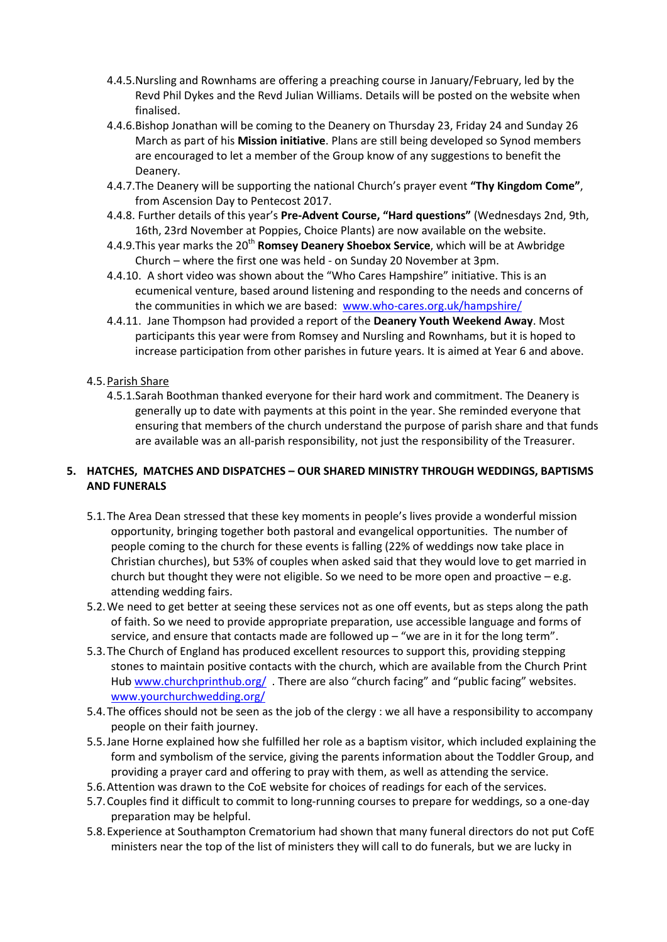- 4.4.5.Nursling and Rownhams are offering a preaching course in January/February, led by the Revd Phil Dykes and the Revd Julian Williams. Details will be posted on the website when finalised.
- 4.4.6.Bishop Jonathan will be coming to the Deanery on Thursday 23, Friday 24 and Sunday 26 March as part of his **Mission initiative**. Plans are still being developed so Synod members are encouraged to let a member of the Group know of any suggestions to benefit the Deanery.
- 4.4.7.The Deanery will be supporting the national Church's prayer event **"Thy Kingdom Come"**, from Ascension Day to Pentecost 2017.
- 4.4.8. Further details of this year's **Pre-Advent Course, "Hard questions"** (Wednesdays 2nd, 9th, 16th, 23rd November at Poppies, Choice Plants) are now available on the website.
- 4.4.9. This year marks the 20<sup>th</sup> Romsey Deanery Shoebox Service, which will be at Awbridge Church – where the first one was held - on Sunday 20 November at 3pm.
- 4.4.10. A short video was shown about the "Who Cares Hampshire" initiative. This is an ecumenical venture, based around listening and responding to the needs and concerns of the communities in which we are based: [www.who-cares.org.uk/hampshire/](http://www.who-cares.org.uk/hampshire/)
- 4.4.11. Jane Thompson had provided a report of the **Deanery Youth Weekend Away**. Most participants this year were from Romsey and Nursling and Rownhams, but it is hoped to increase participation from other parishes in future years. It is aimed at Year 6 and above.

# 4.5.Parish Share

4.5.1.Sarah Boothman thanked everyone for their hard work and commitment. The Deanery is generally up to date with payments at this point in the year. She reminded everyone that ensuring that members of the church understand the purpose of parish share and that funds are available was an all-parish responsibility, not just the responsibility of the Treasurer.

# **5. HATCHES, MATCHES AND DISPATCHES – OUR SHARED MINISTRY THROUGH WEDDINGS, BAPTISMS AND FUNERALS**

- 5.1.The Area Dean stressed that these key moments in people's lives provide a wonderful mission opportunity, bringing together both pastoral and evangelical opportunities. The number of people coming to the church for these events is falling (22% of weddings now take place in Christian churches), but 53% of couples when asked said that they would love to get married in church but thought they were not eligible. So we need to be more open and proactive  $-e.g.$ attending wedding fairs.
- 5.2.We need to get better at seeing these services not as one off events, but as steps along the path of faith. So we need to provide appropriate preparation, use accessible language and forms of service, and ensure that contacts made are followed up  $-$  "we are in it for the long term".
- 5.3.The Church of England has produced excellent resources to support this, providing stepping stones to maintain positive contacts with the church, which are available from the Church Print Hub [www.churchprinthub.org/](http://www.churchprinthub.org/) . There are also "church facing" and "public facing" websites. [www.yourchurchwedding.org/](http://www.yourchurchwedding.org/)
- 5.4.The offices should not be seen as the job of the clergy : we all have a responsibility to accompany people on their faith journey.
- 5.5.Jane Horne explained how she fulfilled her role as a baptism visitor, which included explaining the form and symbolism of the service, giving the parents information about the Toddler Group, and providing a prayer card and offering to pray with them, as well as attending the service.
- 5.6.Attention was drawn to the CoE website for choices of readings for each of the services.
- 5.7.Couples find it difficult to commit to long-running courses to prepare for weddings, so a one-day preparation may be helpful.
- 5.8.Experience at Southampton Crematorium had shown that many funeral directors do not put CofE ministers near the top of the list of ministers they will call to do funerals, but we are lucky in